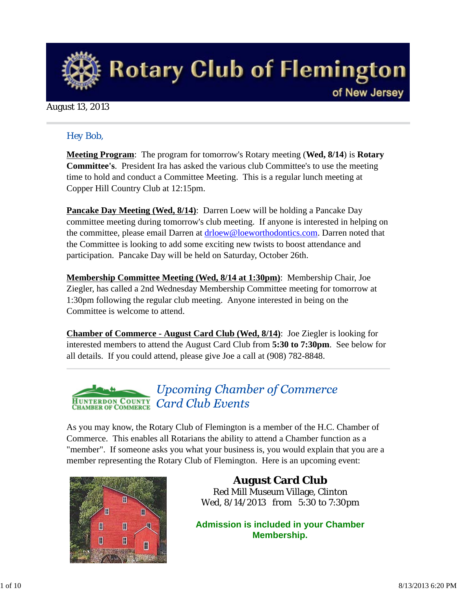

#### August 13, 2013

### *Hey Bob,*

**Meeting Program**: The program for tomorrow's Rotary meeting (**Wed, 8/14**) is **Rotary Committee's**. President Ira has asked the various club Committee's to use the meeting time to hold and conduct a Committee Meeting. This is a regular lunch meeting at Copper Hill Country Club at 12:15pm.

**Pancake Day Meeting (Wed, 8/14)**: Darren Loew will be holding a Pancake Day committee meeting during tomorrow's club meeting. If anyone is interested in helping on the committee, please email Darren at drloew@loeworthodontics.com. Darren noted that the Committee is looking to add some exciting new twists to boost attendance and participation. Pancake Day will be held on Saturday, October 26th.

**Membership Committee Meeting (Wed, 8/14 at 1:30pm)**: Membership Chair, Joe Ziegler, has called a 2nd Wednesday Membership Committee meeting for tomorrow at 1:30pm following the regular club meeting. Anyone interested in being on the Committee is welcome to attend.

**Chamber of Commerce - August Card Club (Wed, 8/14)**: Joe Ziegler is looking for interested members to attend the August Card Club from **5:30 to 7:30pm**. See below for all details. If you could attend, please give Joe a call at (908) 782-8848.

#### **Upcoming Chamber of Commerce HUNTERDON COUNTY**<br>CHAMBER OF COMMERCE **Card Club Events**

As you may know, the Rotary Club of Flemington is a member of the H.C. Chamber of Commerce. This enables all Rotarians the ability to attend a Chamber function as a "member". If someone asks you what your business is, you would explain that you are a member representing the Rotary Club of Flemington. Here is an upcoming event:



**August Card Club** Red Mill Museum Village, Clinton Wed, 8/14/2013 from 5:30 to 7:30pm

**Admission is included in your Chamber Membership.**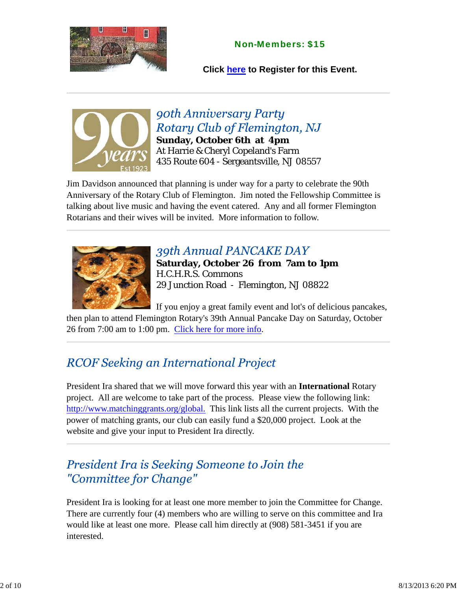### Non-Members: \$15

**Click here to Register for this Event.**



**90th Anniversary Party** Rotary Club of Flemington, NJ **Sunday, October 6th at 4pm** At Harrie & Cheryl Copeland's Farm 435 Route 604 - Sergeantsville, NJ 08557

Jim Davidson announced that planning is under way for a party to celebrate the 90th Anniversary of the Rotary Club of Flemington. Jim noted the Fellowship Committee is talking about live music and having the event catered. Any and all former Flemington Rotarians and their wives will be invited. More information to follow.



### 39th Annual PANCAKE DAY

**Saturday, October 26 from 7am to 1pm** H.C.H.R.S. Commons 29 Junction Road - Flemington, NJ 08822

If you enjoy a great family event and lot's of delicious pancakes, then plan to attend Flemington Rotary's 39th Annual Pancake Day on Saturday, October 26 from 7:00 am to 1:00 pm. Click here for more info.

# **RCOF Seeking an International Project**

President Ira shared that we will move forward this year with an **International** Rotary project. All are welcome to take part of the process. Please view the following link: http://www.matchinggrants.org/global. This link lists all the current projects. With the power of matching grants, our club can easily fund a \$20,000 project. Look at the website and give your input to President Ira directly.

### President Ira is Seeking Someone to Join the "Committee for Change"

President Ira is looking for at least one more member to join the Committee for Change. There are currently four (4) members who are willing to serve on this committee and Ira would like at least one more. Please call him directly at (908) 581-3451 if you are interested.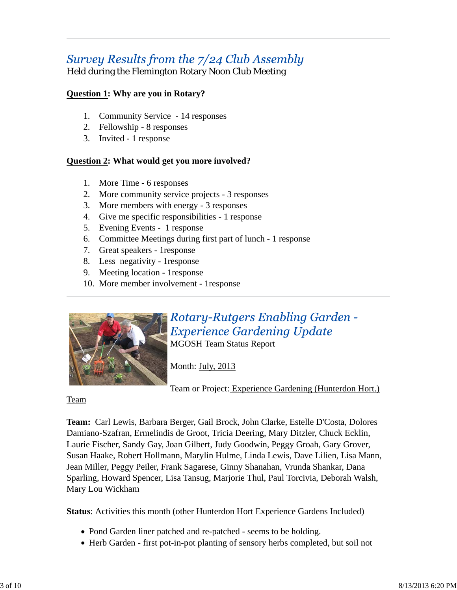# Survey Results from the 7/24 Club Assembly

Held during the Flemington Rotary Noon Club Meeting

### **Question 1: Why are you in Rotary?**

- 1. Community Service 14 responses
- 2. Fellowship 8 responses
- 3. Invited 1 response

### **Question 2: What would get you more involved?**

- 1. More Time 6 responses
- 2. More community service projects 3 responses
- 3. More members with energy 3 responses
- 4. Give me specific responsibilities 1 response
- 5. Evening Events 1 response
- 6. Committee Meetings during first part of lunch 1 response
- 7. Great speakers 1response
- 8. Less negativity 1response
- 9. Meeting location 1response
- 10. More member involvement 1response



# Rotary-Rutgers Enabling Garden -**Experience Gardening Update**

MGOSH Team Status Report

Month: July, 2013

Team or Project: Experience Gardening (Hunterdon Hort.)

#### Team

**Team:** Carl Lewis, Barbara Berger, Gail Brock, John Clarke, Estelle D'Costa, Dolores Damiano-Szafran, Ermelindis de Groot, Tricia Deering, Mary Ditzler, Chuck Ecklin, Laurie Fischer, Sandy Gay, Joan Gilbert, Judy Goodwin, Peggy Groah, Gary Grover, Susan Haake, Robert Hollmann, Marylin Hulme, Linda Lewis, Dave Lilien, Lisa Mann, Jean Miller, Peggy Peiler, Frank Sagarese, Ginny Shanahan, Vrunda Shankar, Dana Sparling, Howard Spencer, Lisa Tansug, Marjorie Thul, Paul Torcivia, Deborah Walsh, Mary Lou Wickham

**Status**: Activities this month (other Hunterdon Hort Experience Gardens Included)

- Pond Garden liner patched and re-patched seems to be holding.
- Herb Garden first pot-in-pot planting of sensory herbs completed, but soil not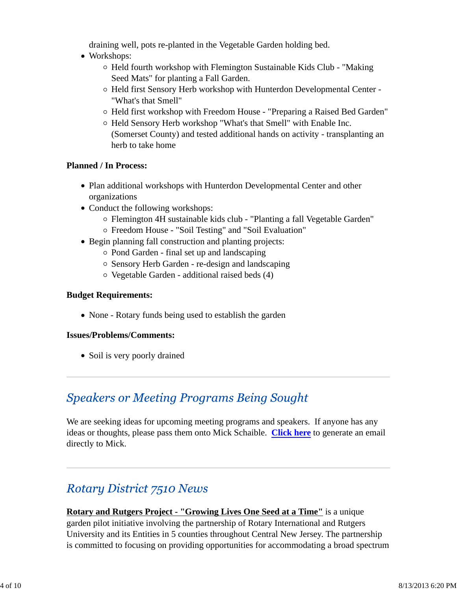draining well, pots re-planted in the Vegetable Garden holding bed.

- Workshops:
	- $\circ$  Held fourth workshop with Flemington Sustainable Kids Club "Making Seed Mats" for planting a Fall Garden.
	- Held first Sensory Herb workshop with Hunterdon Developmental Center "What's that Smell"
	- Held first workshop with Freedom House "Preparing a Raised Bed Garden"
	- Held Sensory Herb workshop "What's that Smell" with Enable Inc. (Somerset County) and tested additional hands on activity - transplanting an herb to take home

### **Planned / In Process:**

- Plan additional workshops with Hunterdon Developmental Center and other organizations
- Conduct the following workshops:
	- Flemington 4H sustainable kids club "Planting a fall Vegetable Garden"
	- Freedom House "Soil Testing" and "Soil Evaluation"
- Begin planning fall construction and planting projects:
	- $\circ$  Pond Garden final set up and landscaping
	- Sensory Herb Garden re-design and landscaping
	- Vegetable Garden additional raised beds (4)

#### **Budget Requirements:**

• None - Rotary funds being used to establish the garden

#### **Issues/Problems/Comments:**

• Soil is very poorly drained

### **Speakers or Meeting Programs Being Sought**

We are seeking ideas for upcoming meeting programs and speakers. If anyone has any ideas or thoughts, please pass them onto Mick Schaible. **Click here** to generate an email directly to Mick.

# **Rotary District 7510 News**

**Rotary and Rutgers Project - "Growing Lives One Seed at a Time"** is a unique garden pilot initiative involving the partnership of Rotary International and Rutgers University and its Entities in 5 counties throughout Central New Jersey. The partnership is committed to focusing on providing opportunities for accommodating a broad spectrum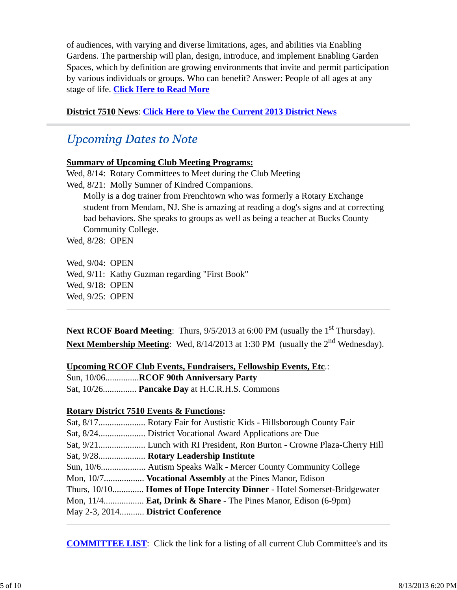of audiences, with varying and diverse limitations, ages, and abilities via Enabling Gardens. The partnership will plan, design, introduce, and implement Enabling Garden Spaces, which by definition are growing environments that invite and permit participation by various individuals or groups. Who can benefit? Answer: People of all ages at any stage of life. **Click Here to Read More**

#### **District 7510 News**: **Click Here to View the Current 2013 District News**

### **Upcoming Dates to Note**

#### **Summary of Upcoming Club Meeting Programs:**

Wed, 8/14: Rotary Committees to Meet during the Club Meeting Wed,  $8/21$ : Molly Sumner of Kindred Companions. Molly is a dog trainer from Frenchtown who was formerly a Rotary Exchange student from Mendam, NJ. She is amazing at reading a dog's signs and at correcting bad behaviors. She speaks to groups as well as being a teacher at Bucks County Community College. Wed, 8/28: OPEN

Wed, 9/04: OPEN Wed, 9/11: Kathy Guzman regarding "First Book" Wed, 9/18: OPEN Wed, 9/25: OPEN

Next RCOF Board Meeting: Thurs, 9/5/2013 at 6:00 PM (usually the 1<sup>st</sup> Thursday). **Next Membership Meeting**: Wed, 8/14/2013 at 1:30 PM (usually the 2<sup>nd</sup> Wednesday).

#### **Upcoming RCOF Club Events, Fundraisers, Fellowship Events, Etc**.:

| Sun, 10/06RCOF 90th Anniversary Party               |
|-----------------------------------------------------|
| Sat, 10/26 <b>Pancake Day</b> at H.C.R.H.S. Commons |

### **Rotary District 7510 Events & Functions:**

|                                   | Sat, 9/28 Rotary Leadership Institute                                    |
|-----------------------------------|--------------------------------------------------------------------------|
|                                   |                                                                          |
|                                   | Mon, 10/7 Vocational Assembly at the Pines Manor, Edison                 |
|                                   | Thurs, 10/10 Homes of Hope Intercity Dinner - Hotel Somerset-Bridgewater |
|                                   | Mon, 11/4 Eat, Drink & Share - The Pines Manor, Edison (6-9pm)           |
| May 2-3, 2014 District Conference |                                                                          |

**COMMITTEE LIST**: Click the link for a listing of all current Club Committee's and its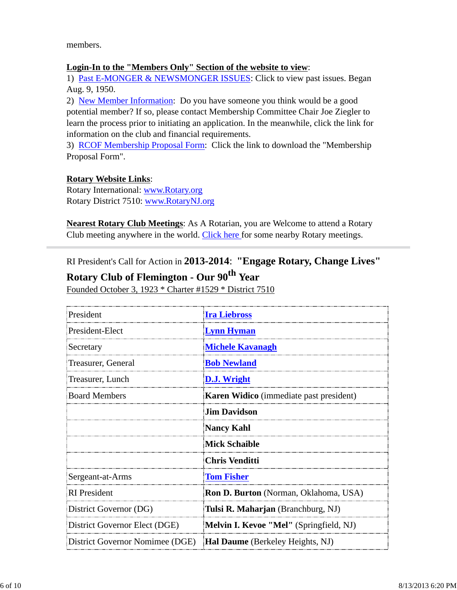members.

#### **Login-In to the "Members Only" Section of the website to view**:

1) Past E-MONGER & NEWSMONGER ISSUES: Click to view past issues. Began Aug. 9, 1950.

2) New Member Information: Do you have someone you think would be a good potential member? If so, please contact Membership Committee Chair Joe Ziegler to learn the process prior to initiating an application. In the meanwhile, click the link for information on the club and financial requirements.

3) RCOF Membership Proposal Form: Click the link to download the "Membership Proposal Form".

#### **Rotary Website Links**:

Rotary International: www.Rotary.org Rotary District 7510: www.RotaryNJ.org

**Nearest Rotary Club Meetings**: As A Rotarian, you are Welcome to attend a Rotary Club meeting anywhere in the world. Click here for some nearby Rotary meetings.

RI President's Call for Action in **2013-2014**: **"Engage Rotary, Change Lives"**

### **Rotary Club of Flemington - Our 90th Year**

Founded October 3, 1923 \* Charter #1529 \* District 7510

| President                       | <b>Ira Liebross</b>                            |  |
|---------------------------------|------------------------------------------------|--|
| President-Elect                 | <b>Lynn Hyman</b>                              |  |
| Secretary                       | <b>Michele Kavanagh</b>                        |  |
| Treasurer, General              | <b>Bob Newland</b>                             |  |
| Treasurer, Lunch                | <b>D.J. Wright</b>                             |  |
| <b>Board Members</b>            | <b>Karen Widico</b> (immediate past president) |  |
|                                 | <b>Jim Davidson</b>                            |  |
|                                 | <b>Nancy Kahl</b>                              |  |
|                                 | <b>Mick Schaible</b>                           |  |
|                                 | <b>Chris Venditti</b>                          |  |
| Sergeant-at-Arms                | <b>Tom Fisher</b>                              |  |
| <b>RI</b> President             | <b>Ron D. Burton</b> (Norman, Oklahoma, USA)   |  |
| District Governor (DG)          | Tulsi R. Maharjan (Branchburg, NJ)             |  |
| District Governor Elect (DGE)   | Melvin I. Kevoe "Mel" (Springfield, NJ)        |  |
| District Governor Nomimee (DGE) | <b>Hal Daume</b> (Berkeley Heights, NJ)        |  |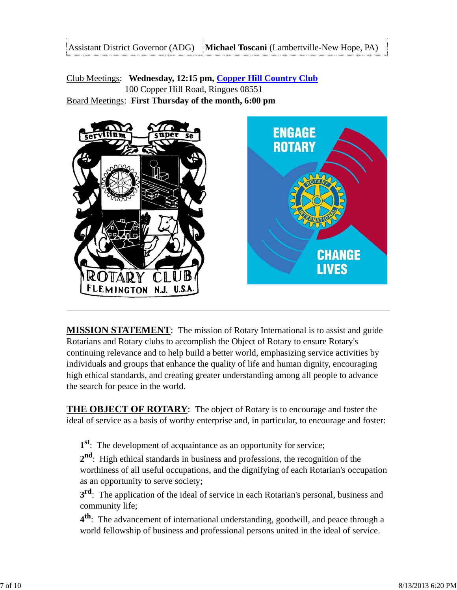Club Meetings: **Wednesday, 12:15 pm, Copper Hill Country Club** 100 Copper Hill Road, Ringoes 08551 Board Meetings: **First Thursday of the month, 6:00 pm**



**MISSION STATEMENT**: The mission of Rotary International is to assist and guide Rotarians and Rotary clubs to accomplish the Object of Rotary to ensure Rotary's continuing relevance and to help build a better world, emphasizing service activities by individuals and groups that enhance the quality of life and human dignity, encouraging high ethical standards, and creating greater understanding among all people to advance the search for peace in the world.

**THE OBJECT OF ROTARY**: The object of Rotary is to encourage and foster the ideal of service as a basis of worthy enterprise and, in particular, to encourage and foster:

**1st**: The development of acquaintance as an opportunity for service;

**2nd**: High ethical standards in business and professions, the recognition of the worthiness of all useful occupations, and the dignifying of each Rotarian's occupation as an opportunity to serve society;

**3<sup>rd</sup>**: The application of the ideal of service in each Rotarian's personal, business and community life;

**4th**: The advancement of international understanding, goodwill, and peace through a world fellowship of business and professional persons united in the ideal of service.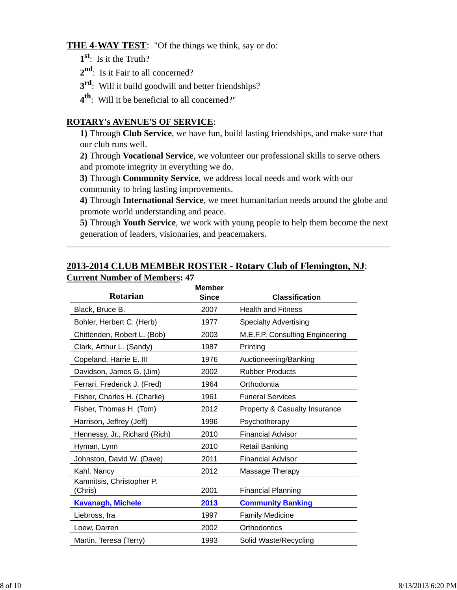#### **THE 4-WAY TEST**: "Of the things we think, say or do:

- **1st**: Is it the Truth?
- 2<sup>nd</sup>: Is it Fair to all concerned?
- **3<sup>rd</sup>:** Will it build goodwill and better friendships?
- **4th**: Will it be beneficial to all concerned?"

#### **ROTARY's AVENUE'S OF SERVICE**:

**1)** Through **Club Service**, we have fun, build lasting friendships, and make sure that our club runs well.

**2)** Through **Vocational Service**, we volunteer our professional skills to serve others and promote integrity in everything we do.

**3)** Through **Community Service**, we address local needs and work with our community to bring lasting improvements.

**4)** Through **International Service**, we meet humanitarian needs around the globe and promote world understanding and peace.

**5)** Through **Youth Service**, we work with young people to help them become the next generation of leaders, visionaries, and peacemakers.

#### **2013-2014 CLUB MEMBER ROSTER - Rotary Club of Flemington, NJ**: **Current Number of Members: 47**

| Rotarian                             | <b>Member</b><br><b>Since</b> | <b>Classification</b>           |
|--------------------------------------|-------------------------------|---------------------------------|
| Black, Bruce B.                      | 2007                          | <b>Health and Fitness</b>       |
| Bohler, Herbert C. (Herb)            | 1977                          | <b>Specialty Advertising</b>    |
| Chittenden, Robert L. (Bob)          | 2003                          | M.E.F.P. Consulting Engineering |
| Clark, Arthur L. (Sandy)             | 1987                          | Printing                        |
| Copeland, Harrie E. III              | 1976                          | Auctioneering/Banking           |
| Davidson, James G. (Jim)             | 2002                          | <b>Rubber Products</b>          |
| Ferrari, Frederick J. (Fred)         | 1964                          | Orthodontia                     |
| Fisher, Charles H. (Charlie)         | 1961                          | <b>Funeral Services</b>         |
| Fisher, Thomas H. (Tom)              | 2012                          | Property & Casualty Insurance   |
| Harrison, Jeffrey (Jeff)             | 1996                          | Psychotherapy                   |
| Hennessy, Jr., Richard (Rich)        | 2010                          | <b>Financial Advisor</b>        |
| Hyman, Lynn                          | 2010                          | <b>Retail Banking</b>           |
| Johnston, David W. (Dave)            | 2011                          | <b>Financial Advisor</b>        |
| Kahl, Nancy                          | 2012                          | Massage Therapy                 |
| Kamnitsis, Christopher P.<br>(Chris) | 2001                          | <b>Financial Planning</b>       |
| <b>Kavanagh, Michele</b>             | 2013                          | <b>Community Banking</b>        |
| Liebross, Ira                        | 1997                          | <b>Family Medicine</b>          |
| Loew, Darren                         | 2002                          | Orthodontics                    |
| Martin, Teresa (Terry)               | 1993                          | Solid Waste/Recycling           |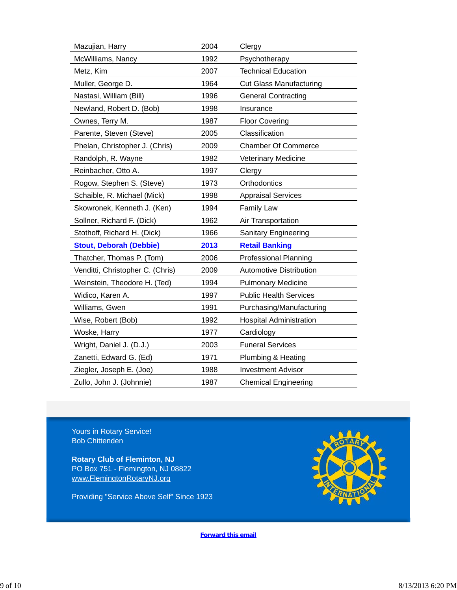| Mazujian, Harry                  | 2004 | Clergy                         |
|----------------------------------|------|--------------------------------|
| McWilliams, Nancy                | 1992 | Psychotherapy                  |
| Metz, Kim                        | 2007 | <b>Technical Education</b>     |
| Muller, George D.                | 1964 | <b>Cut Glass Manufacturing</b> |
| Nastasi, William (Bill)          | 1996 | <b>General Contracting</b>     |
| Newland, Robert D. (Bob)         | 1998 | Insurance                      |
| Ownes, Terry M.                  | 1987 | <b>Floor Covering</b>          |
| Parente, Steven (Steve)          | 2005 | Classification                 |
| Phelan, Christopher J. (Chris)   | 2009 | <b>Chamber Of Commerce</b>     |
| Randolph, R. Wayne               | 1982 | Veterinary Medicine            |
| Reinbacher, Otto A.              | 1997 | Clergy                         |
| Rogow, Stephen S. (Steve)        | 1973 | Orthodontics                   |
| Schaible, R. Michael (Mick)      | 1998 | <b>Appraisal Services</b>      |
| Skowronek, Kenneth J. (Ken)      | 1994 | <b>Family Law</b>              |
| Sollner, Richard F. (Dick)       | 1962 | Air Transportation             |
| Stothoff, Richard H. (Dick)      | 1966 | <b>Sanitary Engineering</b>    |
| <b>Stout, Deborah (Debbie)</b>   | 2013 | <b>Retail Banking</b>          |
| Thatcher, Thomas P. (Tom)        | 2006 | <b>Professional Planning</b>   |
| Venditti, Christopher C. (Chris) | 2009 | <b>Automotive Distribution</b> |
| Weinstein, Theodore H. (Ted)     | 1994 | <b>Pulmonary Medicine</b>      |
| Widico, Karen A.                 | 1997 | <b>Public Health Services</b>  |
| Williams, Gwen                   | 1991 | Purchasing/Manufacturing       |
| Wise, Robert (Bob)               | 1992 | <b>Hospital Administration</b> |
| Woske, Harry                     | 1977 | Cardiology                     |
| Wright, Daniel J. (D.J.)         | 2003 | <b>Funeral Services</b>        |
| Zanetti, Edward G. (Ed)          | 1971 | Plumbing & Heating             |
| Ziegler, Joseph E. (Joe)         | 1988 | <b>Investment Advisor</b>      |
| Zullo, John J. (Johnnie)         | 1987 | <b>Chemical Engineering</b>    |

Yours in Rotary Service! Bob Chittenden

**Rotary Club of Fleminton, NJ** PO Box 751 - Flemington, NJ 08822 www.FlemingtonRotaryNJ.org

Providing "Service Above Self" Since 1923



**Forward this email**